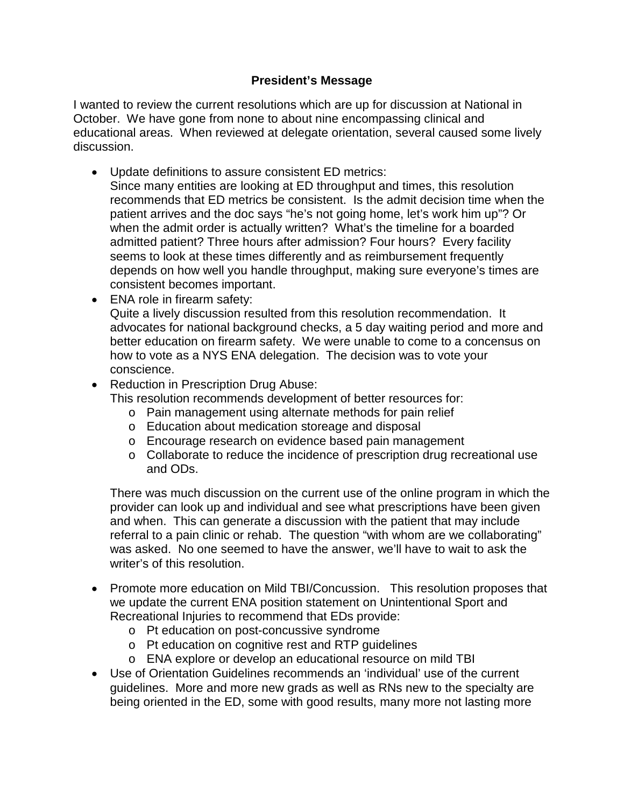## **President's Message**

I wanted to review the current resolutions which are up for discussion at National in October. We have gone from none to about nine encompassing clinical and educational areas. When reviewed at delegate orientation, several caused some lively discussion.

- Update definitions to assure consistent ED metrics:
- Since many entities are looking at ED throughput and times, this resolution recommends that ED metrics be consistent. Is the admit decision time when the patient arrives and the doc says "he's not going home, let's work him up"? Or when the admit order is actually written? What's the timeline for a boarded admitted patient? Three hours after admission? Four hours? Every facility seems to look at these times differently and as reimbursement frequently depends on how well you handle throughput, making sure everyone's times are consistent becomes important.
- ENA role in firearm safety:

Quite a lively discussion resulted from this resolution recommendation. It advocates for national background checks, a 5 day waiting period and more and better education on firearm safety. We were unable to come to a concensus on how to vote as a NYS ENA delegation. The decision was to vote your conscience.

- Reduction in Prescription Drug Abuse:
	- This resolution recommends development of better resources for:
		- o Pain management using alternate methods for pain relief
		- o Education about medication storeage and disposal
		- o Encourage research on evidence based pain management
		- o Collaborate to reduce the incidence of prescription drug recreational use and ODs.

There was much discussion on the current use of the online program in which the provider can look up and individual and see what prescriptions have been given and when. This can generate a discussion with the patient that may include referral to a pain clinic or rehab. The question "with whom are we collaborating" was asked. No one seemed to have the answer, we'll have to wait to ask the writer's of this resolution.

- Promote more education on Mild TBI/Concussion. This resolution proposes that we update the current ENA position statement on Unintentional Sport and Recreational Injuries to recommend that EDs provide:
	- o Pt education on post-concussive syndrome
	- o Pt education on cognitive rest and RTP guidelines
	- o ENA explore or develop an educational resource on mild TBI
- Use of Orientation Guidelines recommends an 'individual' use of the current guidelines. More and more new grads as well as RNs new to the specialty are being oriented in the ED, some with good results, many more not lasting more